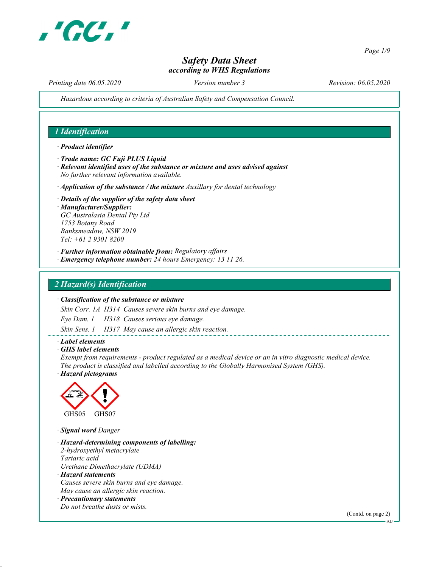

Page 1/9

# Safety Data Sheet according to WHS Regulations

Printing date 06.05.2020 Version number 3 Revision: 06.05.2020

Hazardous according to criteria of Australian Safety and Compensation Council.

## 1 Identification

#### · Product identifier

- · Trade name: GC Fuji PLUS Liquid
- · Relevant identified uses of the substance or mixture and uses advised against No further relevant information available.
- $\cdot$  Application of the substance / the mixture Auxillary for dental technology
- · Details of the supplier of the safety data sheet · Manufacturer/Supplier: GC Australasia Dental Pty Ltd 1753 Botany Road Banksmeadow, NSW 2019 Tel: +61 2 9301 8200
- · Further information obtainable from: Regulatory affairs
- · Emergency telephone number: 24 hours Emergency: 13 11 26.

## 2 Hazard(s) Identification

#### · Classification of the substance or mixture

Skin Corr. 1A H314 Causes severe skin burns and eye damage.

Eye Dam. 1 H318 Causes serious eye damage.

Skin Sens. 1 H317 May cause an allergic skin reaction.

#### · Label elements

· GHS label elements

Exempt from requirements - product regulated as a medical device or an in vitro diagnostic medical device. The product is classified and labelled according to the Globally Harmonised System (GHS).

· Hazard pictograms



· Signal word Danger

- · Hazard-determining components of labelling: 2-hydroxyethyl metacrylate Tartaric acid Urethane Dimethacrylate (UDMA) · Hazard statements
- Causes severe skin burns and eye damage. May cause an allergic skin reaction.
- · Precautionary statements Do not breathe dusts or mists.

(Contd. on page 2)

AU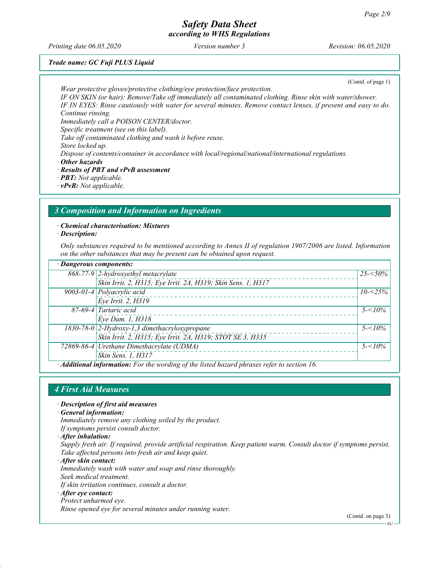Printing date 06.05.2020 Version number 3 Revision: 06.05.2020

## Trade name: GC Fuji PLUS Liquid

(Contd. of page 1)

Wear protective gloves/protective clothing/eye protection/face protection. IF ON SKIN (or hair): Remove/Take off immediately all contaminated clothing. Rinse skin with water/shower. IF IN EYES: Rinse cautiously with water for several minutes. Remove contact lenses, if present and easy to do. Continue rinsing.

Immediately call a POISON CENTER/doctor.

Specific treatment (see on this label).

Take off contaminated clothing and wash it before reuse.

Store locked up.

Dispose of contents/container in accordance with local/regional/national/international regulations.

- · Other hazards
- · Results of PBT and vPvB assessment
- · PBT: Not applicable.
- · vPvB: Not applicable.

## 3 Composition and Information on Ingredients

· Chemical characterisation: Mixtures

· Description:

Only substances required to be mentioned according to Annex II of regulation 1907/2006 are listed. Information on the other substances that may be present can be obtained upon request.

| · Dangerous components: |                                                                                              |             |  |
|-------------------------|----------------------------------------------------------------------------------------------|-------------|--|
|                         | 868-77-9 2-hydroxyethyl metacrylate                                                          | $25 - 50\%$ |  |
|                         | Skin Irrit. 2, H315; Eye Irrit. 2A, H319; Skin Sens. 1, H317                                 |             |  |
|                         | $\overline{9003\text{-}01\text{-}4}$ Polyacrylic acid                                        | $10 - 25\%$ |  |
|                         | Eye Irrit. 2, H319                                                                           |             |  |
|                         | 87-69-4 Tartaric acid                                                                        | $5 - 10\%$  |  |
|                         | Eye Dam. 1, H318                                                                             |             |  |
|                         | 1830-78-0 2-Hydroxy-1,3 dimethacryloxypropane                                                | $5 - 10\%$  |  |
|                         | Skin Irrit. 2, H315; Eye Irrit. 2A, H319; STOT SE 3, H335                                    |             |  |
|                         | 72869-86-4 Urethane Dimethacrylate (UDMA)                                                    | $5 - 10\%$  |  |
|                         | Skin Sens. 1, H317                                                                           |             |  |
|                         | $A$ dditional information: Ear the wording of the listed harand physeses veter to section 16 |             |  |

· Additional information: For the wording of the listed hazard phrases refer to section 16.

#### 4 First Aid Measures

· Description of first aid measures

· General information:

- Immediately remove any clothing soiled by the product.
- If symptoms persist consult doctor.

· After inhalation:

Supply fresh air. If required, provide artificial respiration. Keep patient warm. Consult doctor if symptoms persist. Take affected persons into fresh air and keep quiet.

· After skin contact: Immediately wash with water and soap and rinse thoroughly. Seek medical treatment. If skin irritation continues, consult a doctor.

#### · After eye contact:

Protect unharmed eye.

Rinse opened eye for several minutes under running water.

(Contd. on page 3)

AU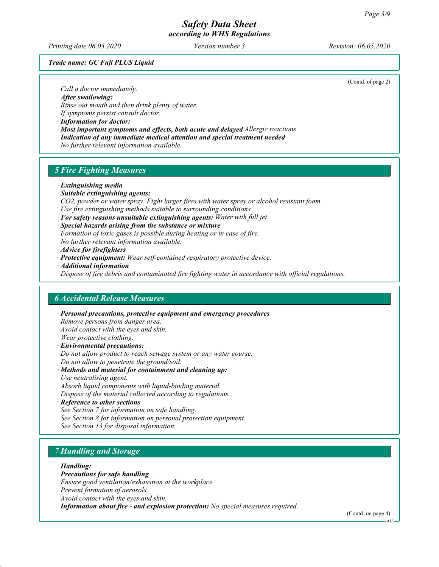Printing date 06.05.2020 Version number 3 Revision: 06.05.2020

Trade name: GC Fuji PLUS Liquid

(Contd. of page 2)

Call a doctor immediately.

· After swallowing:

Rinse out mouth and then drink plenty of water.

If symptoms persist consult doctor.

· Information for doctor:

- · Most important symptoms and effects, both acute and delayed Allergic reactions
- · Indication of any immediate medical attention and special treatment needed
- No further relevant information available.

## 5 Fire Fighting Measures

- · Extinguishing media
- · Suitable extinguishing agents:
- CO2, powder or water spray. Fight larger fires with water spray or alcohol resistant foam. Use fire extinguishing methods suitable to surrounding conditions.
- $\cdot$  For safety reasons unsuitable extinguishing agents: Water with full jet

· Special hazards arising from the substance or mixture Formation of toxic gases is possible during heating or in case of fire.

No further relevant information available.

- · Advice for firefighters
- · Protective equipment: Wear self-contained respiratory protective device.
- · Additional information

Dispose of fire debris and contaminated fire fighting water in accordance with official regulations.

#### 6 Accidental Release Measures

· Personal precautions, protective equipment and emergency procedures Remove persons from danger area. Avoid contact with the eyes and skin. Wear protective clothing. · Environmental precautions:

Do not allow product to reach sewage system or any water course. Do not allow to penetrate the ground/soil.

· Methods and material for containment and cleaning up: Use neutralising agent. Absorb liquid components with liquid-binding material.

Dispose of the material collected according to regulations.

· Reference to other sections See Section 7 for information on safe handling. See Section 8 for information on personal protection equipment. See Section 13 for disposal information.

# 7 Handling and Storage

#### · Handling:

- · Precautions for safe handling
- Ensure good ventilation/exhaustion at the workplace.
- Prevent formation of aerosols.
- Avoid contact with the eyes and skin.
- · Information about fire and explosion protection: No special measures required.

(Contd. on page 4)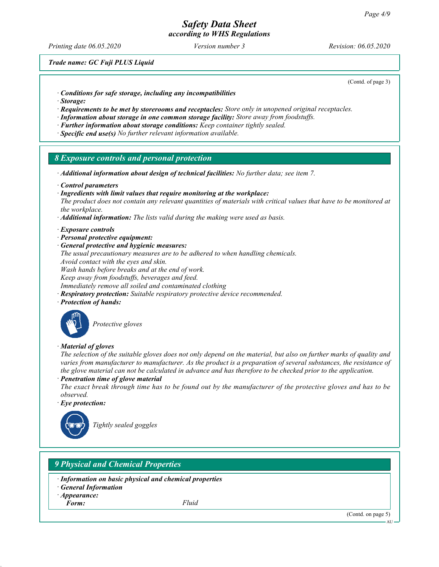Printing date 06.05.2020 Version number 3 Revision: 06.05.2020

Trade name: GC Fuji PLUS Liquid

(Contd. of page 3)

- · Conditions for safe storage, including any incompatibilities
- · Storage:
- $\cdot$  Requirements to be met by storerooms and receptacles: Store only in unopened original receptacles.
- · Information about storage in one common storage facility: Store away from foodstuffs.
- · Further information about storage conditions: Keep container tightly sealed.
- · Specific end use(s) No further relevant information available.

#### 8 Exposure controls and personal protection

- · Additional information about design of technical facilities: No further data; see item 7.
- · Control parameters
- · Ingredients with limit values that require monitoring at the workplace:

The product does not contain any relevant quantities of materials with critical values that have to be monitored at the workplace.

 $\cdot$  **Additional information:** The lists valid during the making were used as basis.

#### · Exposure controls

- · Personal protective equipment:
- General protective and hygienic measures:
- The usual precautionary measures are to be adhered to when handling chemicals.
- Avoid contact with the eyes and skin.

Wash hands before breaks and at the end of work.

Keep away from foodstuffs, beverages and feed.

- Immediately remove all soiled and contaminated clothing
- · Respiratory protection: Suitable respiratory protective device recommended.
- · Protection of hands:



Protective gloves

· Material of gloves

The selection of the suitable gloves does not only depend on the material, but also on further marks of quality and varies from manufacturer to manufacturer. As the product is a preparation of several substances, the resistance of the glove material can not be calculated in advance and has therefore to be checked prior to the application. Penetration time of glove material

- The exact break through time has to be found out by the manufacturer of the protective gloves and has to be observed.
- Eye protection:



Tightly sealed goggles

## 9 Physical and Chemical Properties

- · Information on basic physical and chemical properties
- **General Information**
- · Appearance:

Form: Fluid

(Contd. on page 5)

AU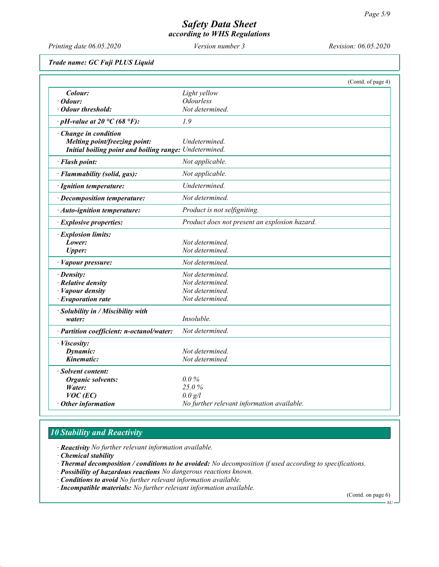Printing date 06.05.2020 Version number 3 Revision: 06.05.2020

Trade name: GC Fuji PLUS Liquid

|                                                               |                                               | (Contd. of page 4) |
|---------------------------------------------------------------|-----------------------------------------------|--------------------|
| Colour:                                                       | Light yellow                                  |                    |
| Odour:                                                        | <b>Odourless</b>                              |                    |
| <b>Odour threshold:</b>                                       | Not determined.                               |                    |
| $\cdot$ pH-value at 20 °C (68 °F):                            | 1.9                                           |                    |
| · Change in condition<br><b>Melting point/freezing point:</b> | Undetermined.                                 |                    |
| Initial boiling point and boiling range: Undetermined.        |                                               |                    |
| · Flash point:                                                | Not applicable.                               |                    |
| · Flammability (solid, gas):                                  | Not applicable.                               |                    |
| · Ignition temperature:                                       | Undetermined.                                 |                    |
| · Decomposition temperature:                                  | Not determined.                               |                    |
| · Auto-ignition temperature:                                  | Product is not selfigniting.                  |                    |
| <b>Explosive properties:</b>                                  | Product does not present an explosion hazard. |                    |
| · Explosion limits:                                           |                                               |                    |
| Lower:                                                        | Not determined.                               |                    |
| <b>Upper:</b>                                                 | Not determined.                               |                    |
| · Vapour pressure:                                            | Not determined.                               |                    |
| $\cdot$ Density:                                              | Not determined.                               |                    |
| · Relative density                                            | Not determined.                               |                    |
| · Vapour density                                              | Not determined.                               |                    |
| · Evaporation rate                                            | Not determined.                               |                    |
| · Solubility in / Miscibility with                            |                                               |                    |
| water:                                                        | Insoluble.                                    |                    |
| · Partition coefficient: n-octanol/water:                     | Not determined.                               |                    |
| · Viscosity:                                                  |                                               |                    |
| Dynamic:                                                      | Not determined.                               |                    |
| Kinematic:                                                    | Not determined.                               |                    |
| · Solvent content:                                            |                                               |                    |
| <b>Organic solvents:</b>                                      | $0.0\%$                                       |                    |
| Water:                                                        | 25.0%                                         |                    |
| $VOC$ (EC)                                                    | 0.0 g/l                                       |                    |
| Other information                                             | No further relevant information available.    |                    |

# 10 Stability and Reactivity

· Reactivity No further relevant information available.

- · Chemical stability
- · Thermal decomposition / conditions to be avoided: No decomposition if used according to specifications.
- · Possibility of hazardous reactions No dangerous reactions known.
- · Conditions to avoid No further relevant information available.
- · Incompatible materials: No further relevant information available.

(Contd. on page 6)

AU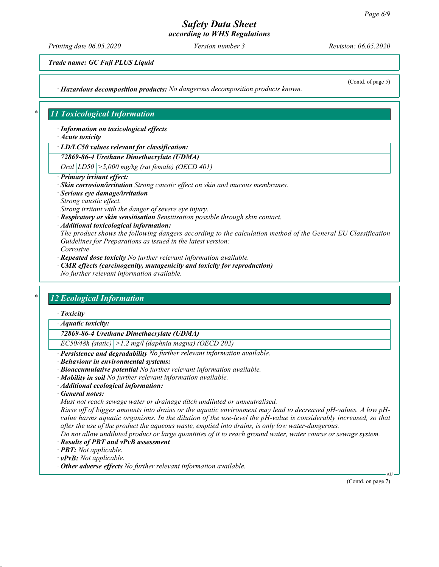# Safety Data Sheet

according to WHS Regulations

Printing date 06.05.2020 Version number 3 Revision: 06.05.2020

(Contd. of page 5)

Trade name: GC Fuji PLUS Liquid

· Hazardous decomposition products: No dangerous decomposition products known.

## 11 Toxicological Information

· Information on toxicological effects

· Acute toxicity

· LD/LC50 values relevant for classification:

72869-86-4 Urethane Dimethacrylate (UDMA)

Oral LD50 >5,000 mg/kg (rat female) (OECD 401)

- · Primary irritant effect:
- · Skin corrosion/irritation Strong caustic effect on skin and mucous membranes.
- · Serious eye damage/irritation Strong caustic effect.

Strong irritant with the danger of severe eye injury.

· Respiratory or skin sensitisation Sensitisation possible through skin contact.

· Additional toxicological information:

The product shows the following dangers according to the calculation method of the General EU Classification Guidelines for Preparations as issued in the latest version: Corrosive

· Repeated dose toxicity No further relevant information available.

· CMR effects (carcinogenity, mutagenicity and toxicity for reproduction) No further relevant information available.

## 12 Ecological Information

· Toxicity

· Aquatic toxicity:

72869-86-4 Urethane Dimethacrylate (UDMA)

 $EC50/48h$  (static)  $|>1.2$  mg/l (daphnia magna) (OECD 202)

Persistence and degradability No further relevant information available.

- · Behaviour in environmental systems:
- · Bioaccumulative potential No further relevant information available.
- · Mobility in soil No further relevant information available.
- · Additional ecological information:

· General notes:

Must not reach sewage water or drainage ditch undiluted or unneutralised.

Rinse off of bigger amounts into drains or the aquatic environment may lead to decreased pH-values. A low pHvalue harms aquatic organisms. In the dilution of the use-level the pH-value is considerably increased, so that after the use of the product the aqueous waste, emptied into drains, is only low water-dangerous.

Do not allow undiluted product or large quantities of it to reach ground water, water course or sewage system.

- · Results of PBT and vPvB assessment
- · PBT: Not applicable.
- · vPvB: Not applicable.
- · Other adverse effects No further relevant information available.

(Contd. on page 7)

AU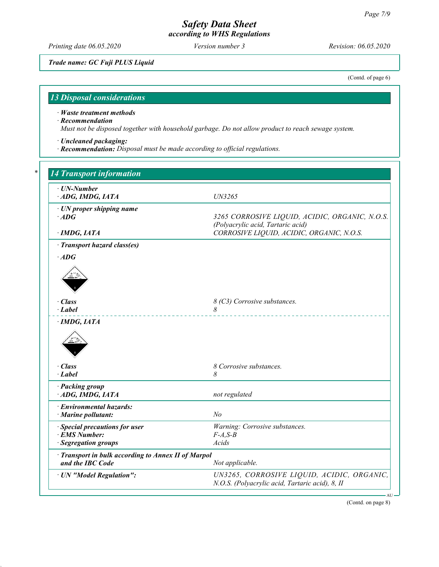Printing date 06.05.2020 Version number 3 Revision: 06.05.2020

Trade name: GC Fuji PLUS Liquid

(Contd. of page 6)

# 13 Disposal considerations

· Waste treatment methods

· Recommendation

Must not be disposed together with household garbage. Do not allow product to reach sewage system.

- · Uncleaned packaging:
- · Recommendation: Disposal must be made according to official regulations.

| $\cdot$ UN-Number                                   |                                                                                |
|-----------------------------------------------------|--------------------------------------------------------------------------------|
| ADG, IMDG, IATA                                     | UN3265                                                                         |
| $\cdot$ UN proper shipping name                     |                                                                                |
| $\cdot$ ADG                                         | 3265 CORROSIVE LIQUID, ACIDIC, ORGANIC, N.O.S.                                 |
| · IMDG, IATA                                        | (Polyacrylic acid, Tartaric acid)<br>CORROSIVE LIQUID, ACIDIC, ORGANIC, N.O.S. |
| · Transport hazard class(es)                        |                                                                                |
| $\cdot$ ADG                                         |                                                                                |
|                                                     |                                                                                |
|                                                     |                                                                                |
|                                                     |                                                                                |
| · Class                                             | 8 (C3) Corrosive substances.                                                   |
| $\cdot$ Label                                       | 8                                                                              |
| $\cdot$ IMDG, IATA                                  |                                                                                |
|                                                     |                                                                                |
| · Class                                             | 8 Corrosive substances.                                                        |
| $\cdot$ <i>Label</i>                                | 8                                                                              |
| · Packing group                                     |                                                                                |
| ADG, IMDG, IATA                                     | not regulated                                                                  |
| · Environmental hazards:                            |                                                                                |
| · Marine pollutant:                                 | N <sub>o</sub>                                                                 |
| · Special precautions for user                      | Warning: Corrosive substances.                                                 |
| · EMS Number:                                       | $F-A, S-B$                                                                     |
| · Segregation groups                                | Acids                                                                          |
| · Transport in bulk according to Annex II of Marpol |                                                                                |
| and the IBC Code                                    | Not applicable.                                                                |
| · UN "Model Regulation":                            | UN3265, CORROSIVE LIQUID, ACIDIC, ORGANIC,                                     |
|                                                     |                                                                                |

(Contd. on page 8)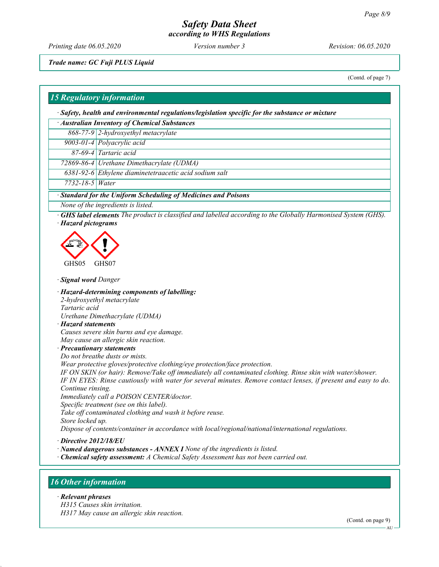Printing date 06.05.2020 Version number 3 Revision: 06.05.2020

Trade name: GC Fuji PLUS Liquid

(Contd. of page 7)

#### 15 Regulatory information

· Safety, health and environmental regulations/legislation specific for the substance or mixture

| · Australian Inventory of Chemical Substances |                                                        |  |  |  |
|-----------------------------------------------|--------------------------------------------------------|--|--|--|
|                                               | 868-77-9 2-hydroxyethyl metacrylate                    |  |  |  |
|                                               | 9003-01-4 Polyacrylic acid                             |  |  |  |
|                                               | 87-69-4 Tartaric acid                                  |  |  |  |
|                                               | 72869-86-4 Urethane Dimethacrylate (UDMA)              |  |  |  |
|                                               | 6381-92-6 Ethylene diaminetetraacetic acid sodium salt |  |  |  |
| $7732 - 18 - 5$ <i>Water</i>                  |                                                        |  |  |  |

· Standard for the Uniform Scheduling of Medicines and Poisons

None of the ingredients is listed.

· GHS label elements The product is classified and labelled according to the Globally Harmonised System (GHS). · Hazard pictograms



· Signal word Danger

· Hazard-determining components of labelling: 2-hydroxyethyl metacrylate Tartaric acid Urethane Dimethacrylate (UDMA) · Hazard statements

Causes severe skin burns and eye damage. May cause an allergic skin reaction.

· Precautionary statements

Do not breathe dusts or mists.

Wear protective gloves/protective clothing/eye protection/face protection.

IF ON SKIN (or hair): Remove/Take off immediately all contaminated clothing. Rinse skin with water/shower. IF IN EYES: Rinse cautiously with water for several minutes. Remove contact lenses, if present and easy to do. Continue rinsing.

Immediately call a POISON CENTER/doctor. Specific treatment (see on this label).

Take off contaminated clothing and wash it before reuse.

Store locked up.

Dispose of contents/container in accordance with local/regional/national/international regulations.

· Directive 2012/18/EU

- · Named dangerous substances ANNEX I None of the ingredients is listed.
- · Chemical safety assessment: A Chemical Safety Assessment has not been carried out.

#### 16 Other information

#### · Relevant phrases

H315 Causes skin irritation. H317 May cause an allergic skin reaction.

(Contd. on page 9)

**AU**